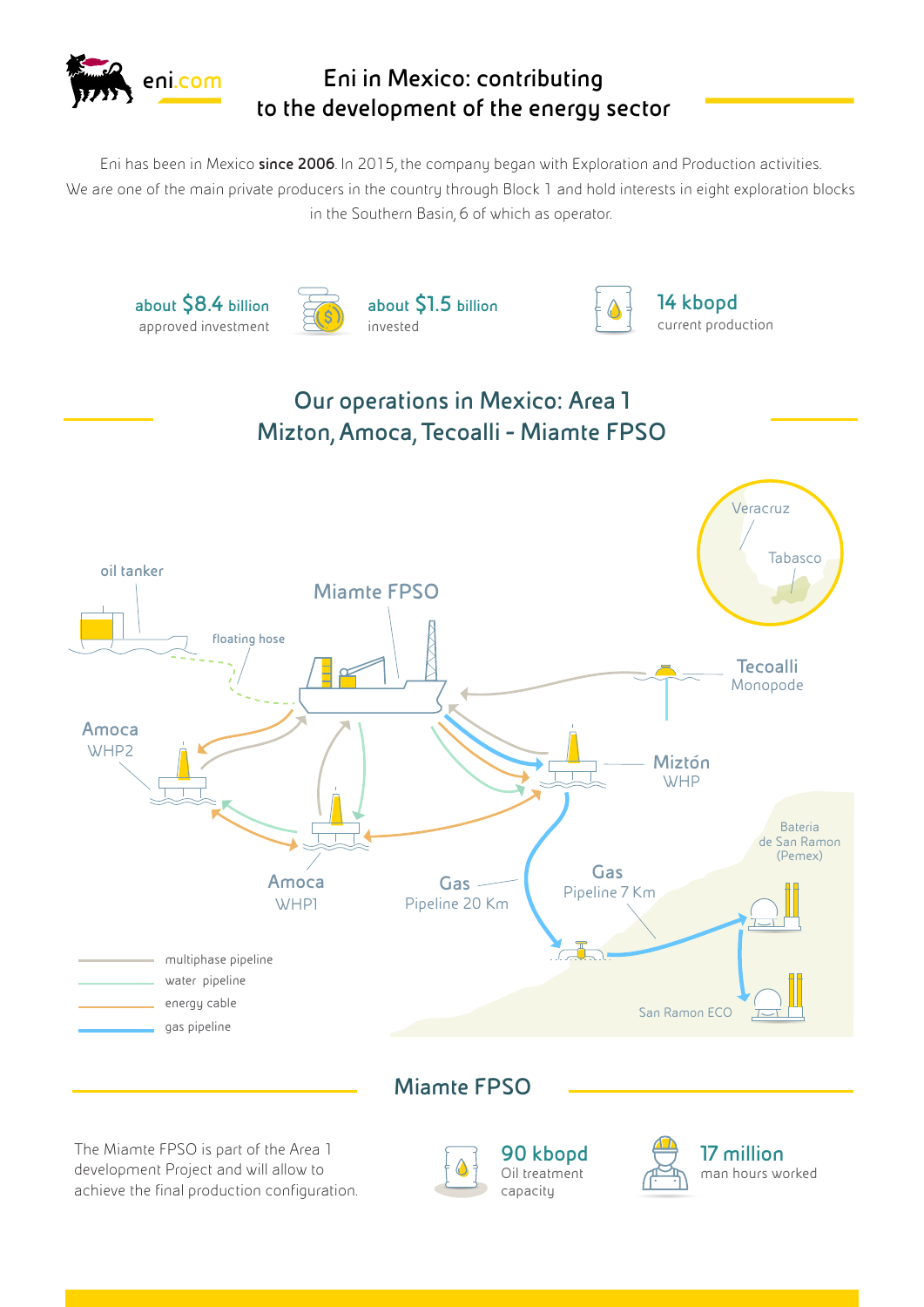

## **Eni in Mexico: contributing to the development of the energy sector**

Eni has been in Mexico **since 2006**. In 2015, the company began with Exploration and Production activities. We are one of the main private producers in the country through Block 1 and hold interests in eight exploration blocks in the Southern Basin, 6 of which as operator.









**14 kbopd** current production



The Miamte FPSO is part of the Area 1 development Project and will allow to achieve the final production configuration.